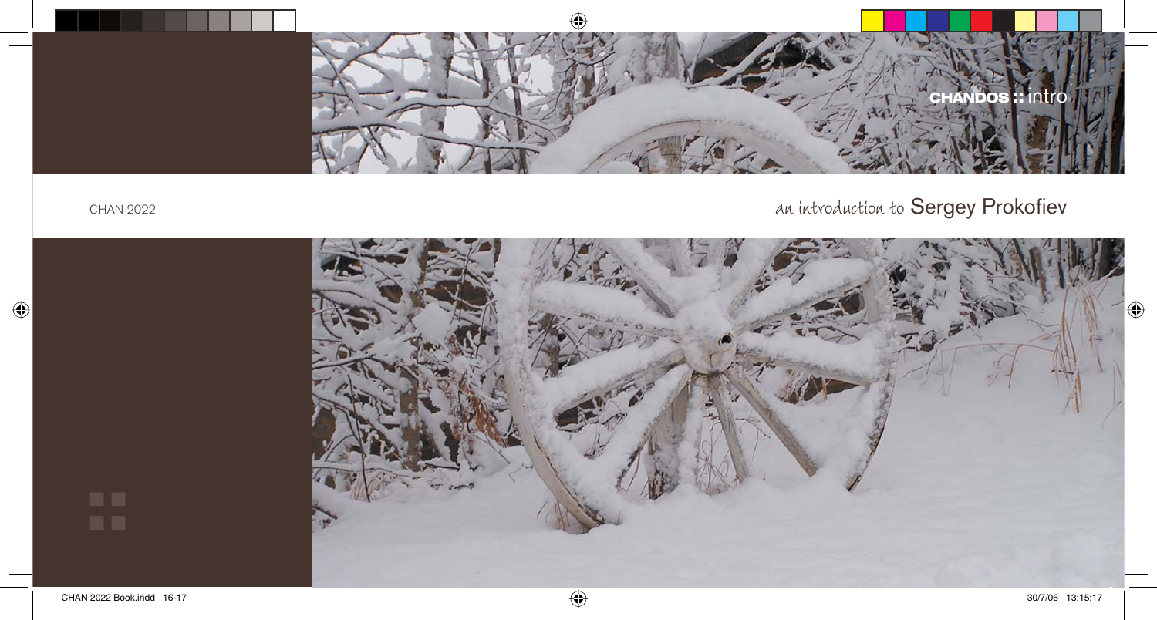

### an introduction to Sergey Prokofiev

CHAN 2022

 $\bigcirc$ 

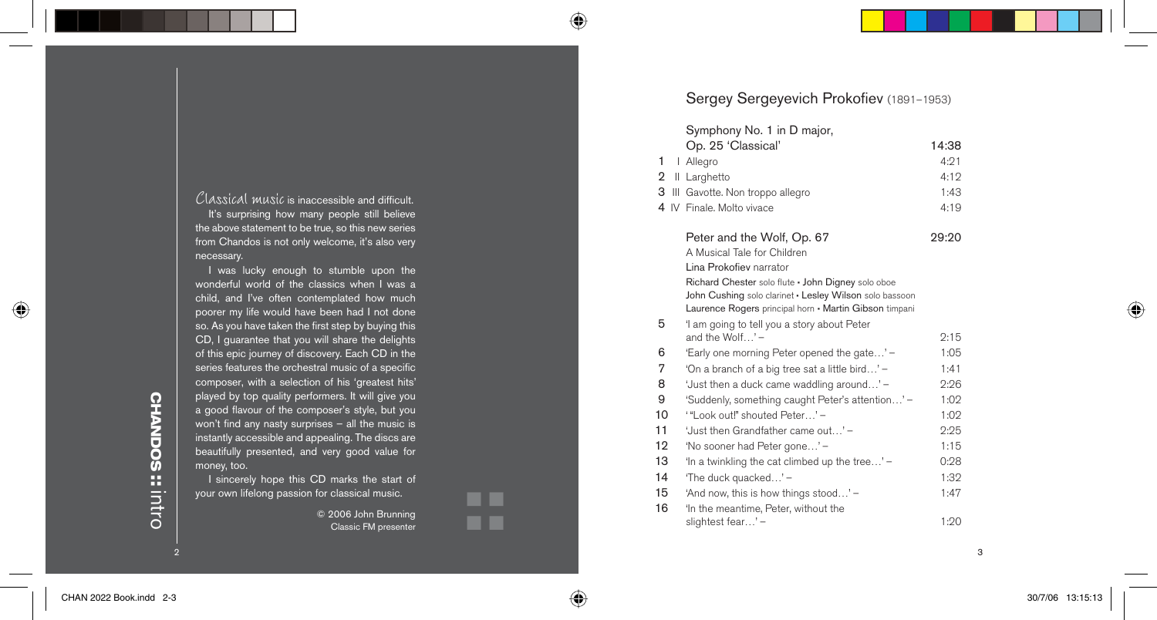## **CHANDOS CHANDOS** intro **::**

 $\overline{2}$ 

I was lucky enough to stumble upon the wonderful world of the classics when I was a child, and I've often contemplated how much poorer my life would have been had I not done so. As you have taken the first step by buying this CD, I guarantee that you will share the delights of this epic journey of discovery. Each CD in the series features the orchestral music of a specific composer, with a selection of his 'greatest hits' played by top quality performers. It will give you a good flavour of the composer's style, but you won't find any nasty surprises  $-$  all the music is instantly accessible and appealing. The discs are beautifully presented, and very good value for

necessary.

 $\mathcal{C}$ lassical music is inaccessible and difficult. It's surprising how many people still believe the above statement to be true, so this new series from Chandos is not only welcome, it's also very

money, too. I sincerely hope this CD marks the start of your own lifelong passion for classical music.

> © 2006 John Brunning Classic FM presenter

**::** 

Sergey Sergeyevich Prokofiev (1891-1953)

#### Symphony No. 1 in D major, Op. 25 'Classical' 14:38 1 I Allegro 4:21 2 II Larghetto 4:12 3 III Gavotte. Non troppo allegro 1:43 4 IV Finale. Molto vivace 4:19 Peter and the Wolf, Op. 67 29:20 A Musical Tale for Children Lina Prokofiev narrator Richard Chester solo flute · John Digney solo oboe John Cushing solo clarinet • Lesley Wilson solo bassoon Laurence Rogers principal horn • Martin Gibson timpani 5 'I am going to tell you a story about Peter and the Wolf $\ldots$ ' –  $\ldots$  2:15 6 'Early one morning Peter opened the gate...' – 1:05 7 'On a branch of a big tree sat a little bird…' – 1:41 8 'Just then a duck came waddling around...' – 2:26 9 'Suddenly, something caught Peter's attention...' – 1:02 10 '"Look out!" shouted Peter — 1:02 11 Ust then Grandfather came out … 2:25 12 'No sooner had Peter gone...' – 1:15 13 'In a twinkling the cat climbed up the tree...' – 0:28 14 The duck quacked...' – 1:32 15 'And now, this is how things stood...' – 1:47 16 <sup>'In the meantime, Peter, without the</sup> slightest fear...' – 1:20

3

⊕

30/7/06 13:15:13 0/7/06

⊕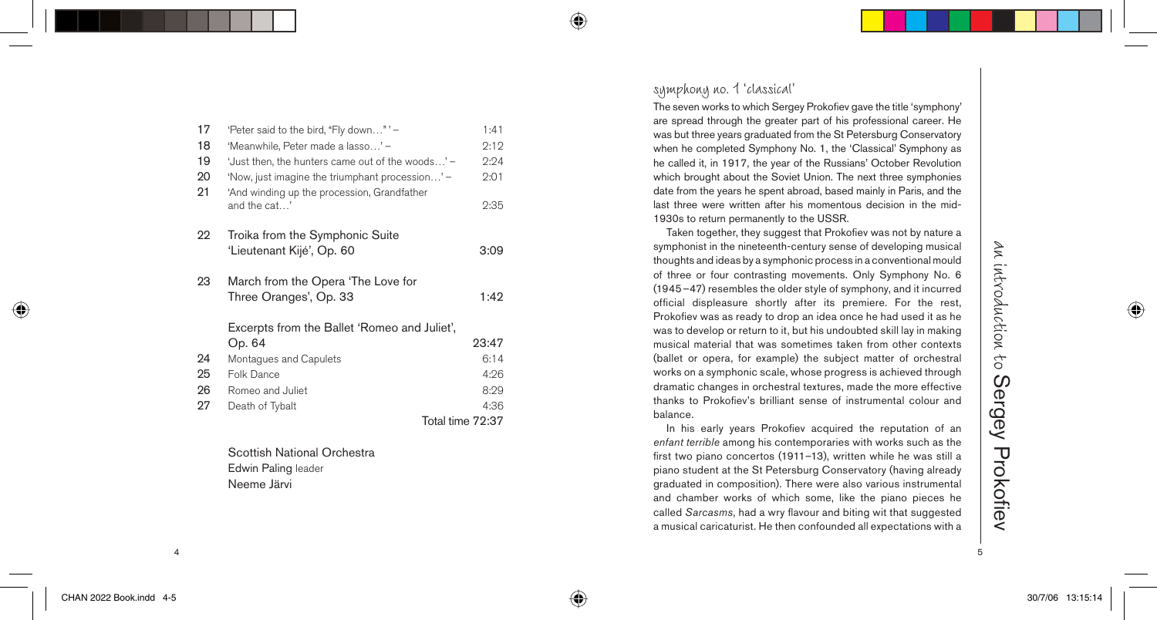| 17 | 'Peter said to the bird, "Fly down"' -                      | 1:41             |
|----|-------------------------------------------------------------|------------------|
| 18 | 'Meanwhile, Peter made a lasso' -                           | 2:12             |
| 19 | 'Just then, the hunters came out of the woods' -            | 2:24             |
| 20 | 'Now, just imagine the triumphant procession' -             | 2:01             |
| 21 | 'And winding up the procession, Grandfather<br>and the cat' | 2:35             |
| 22 | Troika from the Symphonic Suite                             |                  |
|    | 'Lieutenant Kijé', Op. 60                                   | 3:09             |
|    |                                                             |                  |
| 23 | March from the Opera 'The Love for                          |                  |
|    | Three Oranges', Op. 33                                      | 1:42             |
|    | Excerpts from the Ballet 'Romeo and Juliet',                |                  |
|    | Op. 64                                                      | 23:47            |
| 24 | Montagues and Capulets                                      | 6:14             |
| 25 | Folk Dance                                                  | 4:26             |
| 26 | Romeo and Juliet                                            | 8:29             |
| 27 | Death of Tybalt                                             | 4:36             |
|    |                                                             | Total time 72:37 |

 Scottish National Orchestra Edwin Paling leader Neeme Järvi

symphony no. 1 'classical'

⊕

The seven works to which Sergey Prokofiev gave the title 'symphony' are spread through the greater part of his professional career. He was but three years graduated from the St Petersburg Conservatory when he completed Symphony No. 1, the 'Classical' Symphony as he called it, in 1917, the year of the Russians' October Revolution which brought about the Soviet Union. The next three symphonies date from the years he spent abroad, based mainly in Paris, and the last three were written after his momentous decision in the mid-1930s to return permanently to the USSR.

Taken together, they suggest that Prokofiev was not by nature a symphonist in the nineteenth-century sense of developing musical thoughts and ideas by a symphonic process in a conventional mould of three or four contrasting movements. Only Symphony No. 6 (1945–47) resembles the older style of symphony, and it incurred official displeasure shortly after its premiere. For the rest, Prokofiev was as ready to drop an idea once he had used it as he was to develop or return to it, but his undoubted skill lay in making musical material that was sometimes taken from other contexts (ballet or opera, for example) the subject matter of orchestral works on a symphonic scale, whose progress is achieved through dramatic changes in orchestral textures, made the more effective thanks to Prokofiev's brilliant sense of instrumental colour and balance.

In his early years Prokofiev acquired the reputation of an *enfant terrible* among his contemporaries with works such as the first two piano concertos (1911-13), written while he was still a piano student at the St Petersburg Conservatory (having already graduated in composition). There were also various instrumental and chamber works of which some, like the piano pieces he called *Sarcasms*, had a wry flavour and biting wit that suggested a musical caricaturist. He then confounded all expectations with a

4 5

⊕

◈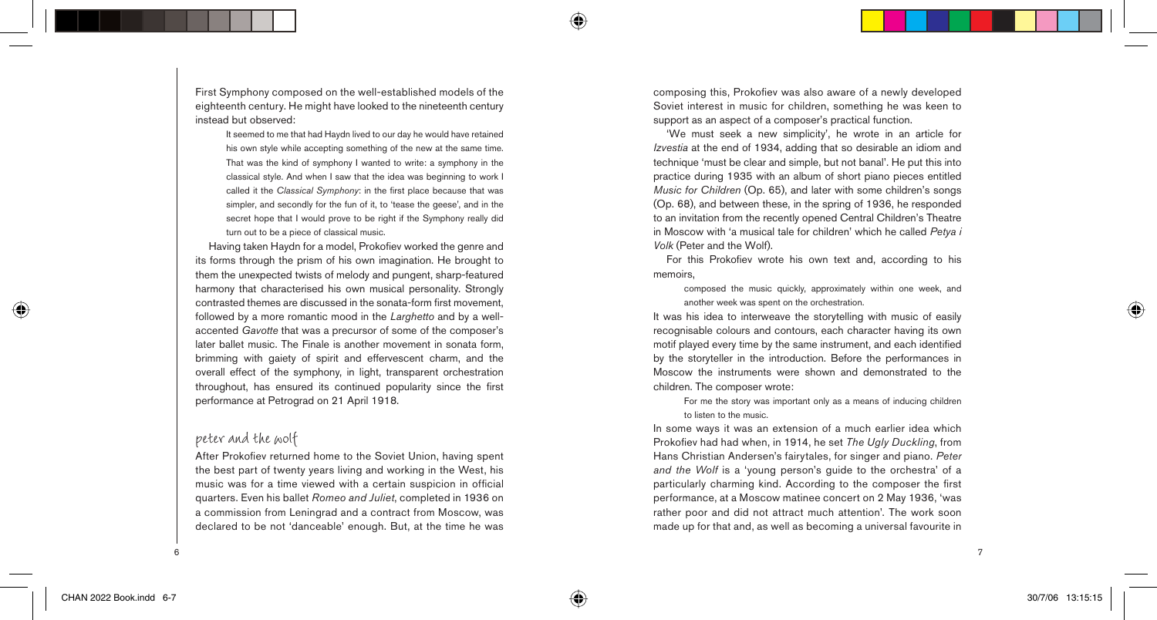First Symphony composed on the well-established models of the eighteenth century. He might have looked to the nineteenth century instead but observed:

It seemed to me that had Haydn lived to our day he would have retained his own style while accepting something of the new at the same time. That was the kind of symphony I wanted to write: a symphony in the classical style. And when I saw that the idea was beginning to work I called it the *Classical Symphony*: in the first place because that was simpler, and secondly for the fun of it, to 'tease the geese', and in the secret hope that I would prove to be right if the Symphony really did turn out to be a piece of classical music.

Having taken Haydn for a model. Prokofiev worked the genre and its forms through the prism of his own imagination. He brought to them the unexpected twists of melody and pungent, sharp-featured harmony that characterised his own musical personality. Strongly contrasted themes are discussed in the sonata-form first movement. followed by a more romantic mood in the *Larghetto* and by a wellaccented *Gavotte* that was a precursor of some of the composer's later ballet music. The Finale is another movement in sonata form, brimming with gaiety of spirit and effervescent charm, and the overall effect of the symphony, in light, transparent orchestration throughout, has ensured its continued popularity since the first performance at Petrograd on 21 April 1918.

#### peter and the wolf

After Prokofiev returned home to the Soviet Union, having spent the best part of twenty years living and working in the West, his music was for a time viewed with a certain suspicion in official quarters. Even his ballet *Romeo and Juliet*, completed in 1936 on a commission from Leningrad and a contract from Moscow, was declared to be not 'danceable' enough. But, at the time he was composing this, Prokofiev was also aware of a newly developed Soviet interest in music for children, something he was keen to support as an aspect of a composer's practical function.

'We must seek a new simplicity', he wrote in an article for *Izvestia* at the end of 1934, adding that so desirable an idiom and technique 'must be clear and simple, but not banal'. He put this into practice during 1935 with an album of short piano pieces entitled *Music for Children* (Op. 65), and later with some children's songs (Op. 68), and between these, in the spring of 1936, he responded to an invitation from the recently opened Central Children's Theatre in Moscow with 'a musical tale for children' which he called *Petya i Volk* (Peter and the Wolf).

For this Prokofiev wrote his own text and, according to his memoirs,

composed the music quickly, approximately within one week, and another week was spent on the orchestration.

It was his idea to interweave the storytelling with music of easily recognisable colours and contours, each character having its own motif played every time by the same instrument, and each identified by the storyteller in the introduction. Before the performances in Moscow the instruments were shown and demonstrated to the children. The composer wrote:

For me the story was important only as a means of inducing children to listen to the music.

In some ways it was an extension of a much earlier idea which Prokofiev had had when, in 1914, he set *The Ugly Duckling*, from Hans Christian Andersen's fairytales, for singer and piano. *Peter and the Wolf* is a 'young person's guide to the orchestra' of a particularly charming kind. According to the composer the first performance, at a Moscow matinee concert on 2 May 1936, 'was rather poor and did not attract much attention'. The work soon made up for that and, as well as becoming a universal favourite in

⊕

⊕

 $\sim$  7

♠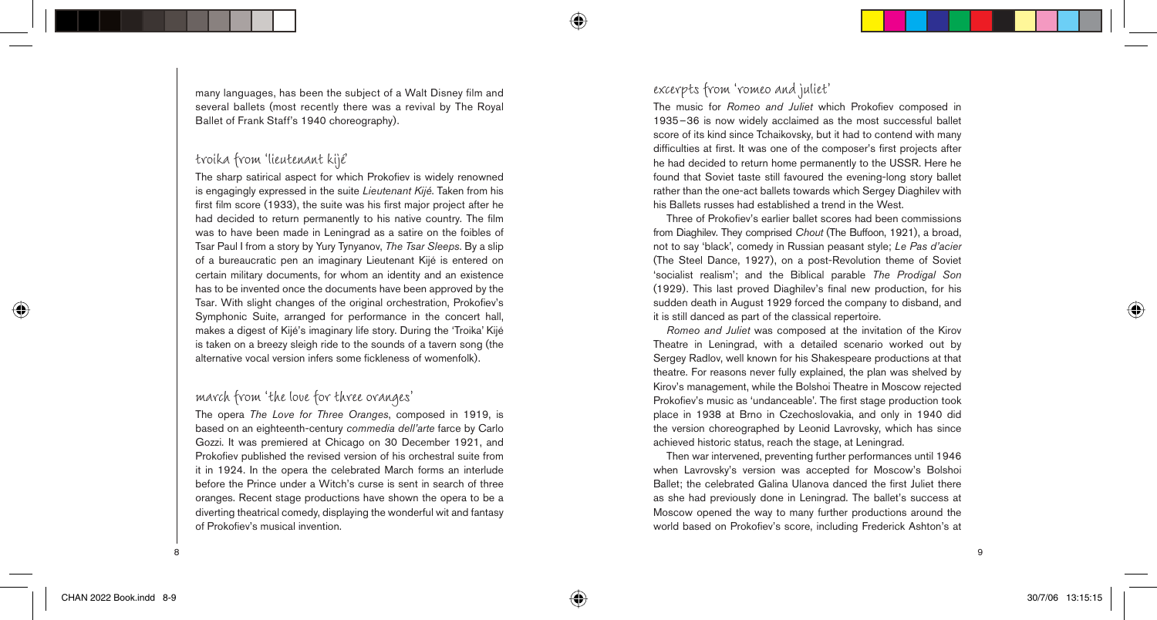many languages, has been the subject of a Walt Disney film and several ballets (most recently there was a revival by The Royal Ballet of Frank Staff's 1940 choreography).

#### troika from 'lieutenant kijé'

The sharp satirical aspect for which Prokofiev is widely renowned is engagingly expressed in the suite *Lieutenant Kijé*. Taken from his first film score (1933), the suite was his first major project after he had decided to return permanently to his native country. The film was to have been made in Leningrad as a satire on the foibles of Tsar Paul I from a story by Yury Tynyanov, *The Tsar Sleeps*. By a slip of a bureaucratic pen an imaginary Lieutenant Kijé is entered on certain military documents, for whom an identity and an existence has to be invented once the documents have been approved by the Tsar. With slight changes of the original orchestration, Prokofiev's Symphonic Suite, arranged for performance in the concert hall, makes a digest of Kijé's imaginary life story. During the 'Troika' Kijé is taken on a breezy sleigh ride to the sounds of a tavern song (the alternative vocal version infers some fickleness of womenfolk).

#### march from 'the love for three oranges'

The opera *The Love for Three Oranges*, composed in 1919, is based on an eighteenth-century *commedia dell'arte* farce by Carlo Gozzi. It was premiered at Chicago on 30 December 1921, and Prokofiev published the revised version of his orchestral suite from it in 1924. In the opera the celebrated March forms an interlude before the Prince under a Witch's curse is sent in search of three oranges. Recent stage productions have shown the opera to be a diverting theatrical comedy, displaying the wonderful wit and fantasy of Prokofiev's musical invention.

#### excerpts from 'romeo and juliet'

The music for *Romeo and Juliet* which Prokofiev composed in 1935–36 is now widely acclaimed as the most successful ballet score of its kind since Tchaikovsky, but it had to contend with many difficulties at first. It was one of the composer's first projects after he had decided to return home permanently to the USSR. Here he found that Soviet taste still favoured the evening-long story ballet rather than the one-act ballets towards which Sergey Diaghilev with his Ballets russes had established a trend in the West.

Three of Prokofiev's earlier ballet scores had been commissions from Diaghilev. They comprised *Chout* (The Buffoon, 1921), a broad, not to say 'black', comedy in Russian peasant style; *Le Pas d'acier* (The Steel Dance, 1927), on a post-Revolution theme of Soviet 'socialist realism'; and the Biblical parable *The Prodigal Son* (1929). This last proved Diaghilev's final new production, for his sudden death in August 1929 forced the company to disband, and it is still danced as part of the classical repertoire.

*Romeo and Juliet* was composed at the invitation of the Kirov Theatre in Leningrad, with a detailed scenario worked out by Sergey Radlov, well known for his Shakespeare productions at that theatre. For reasons never fully explained, the plan was shelved by Kirov's management, while the Bolshoi Theatre in Moscow rejected Prokofiev's music as 'undanceable'. The first stage production took place in 1938 at Brno in Czechoslovakia, and only in 1940 did the version choreographed by Leonid Lavrovsky, which has since achieved historic status, reach the stage, at Leningrad.

Then war intervened, preventing further performances until 1946 when Lavrovsky's version was accepted for Moscow's Bolshoi Ballet; the celebrated Galina Ulanova danced the first Juliet there as she had previously done in Leningrad. The ballet's success at Moscow opened the way to many further productions around the world based on Prokofiev's score, including Frederick Ashton's at

8

 $\Leftrightarrow$ 

⊕

9

⊕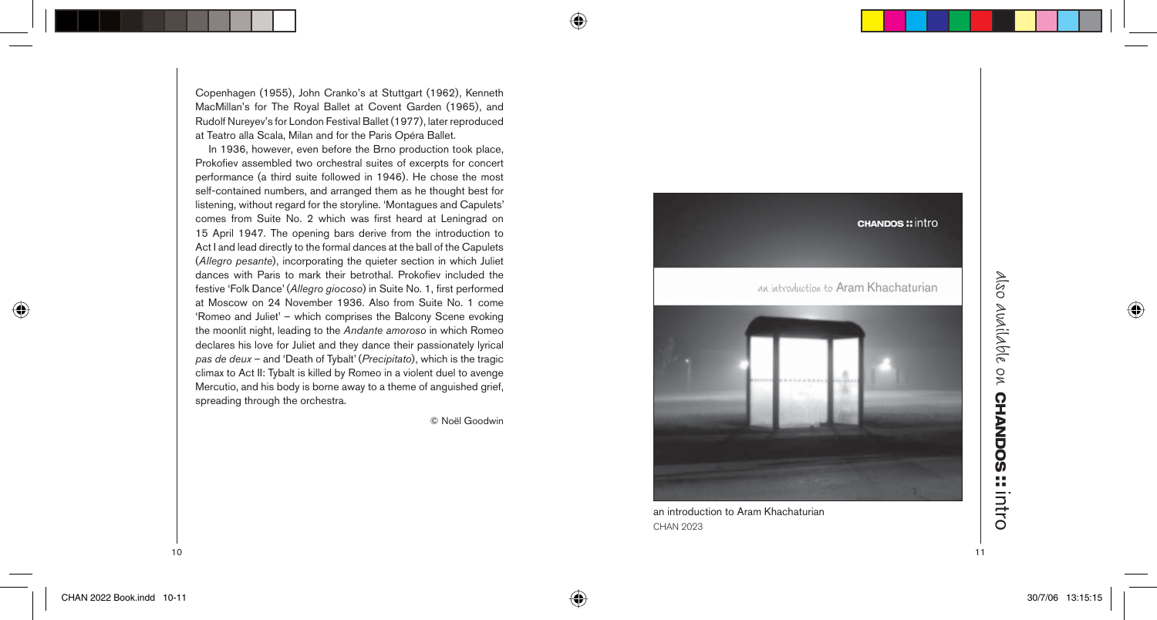Copenhagen (1955), John Cranko's at Stuttgart (1962), Kenneth MacMillan's for The Royal Ballet at Covent Garden (1965), and Rudolf Nureyev's for London Festival Ballet (1977), later reproduced at Teatro alla Scala, Milan and for the Paris Opéra Ballet.

In 1936, however, even before the Brno production took place, Prokofiev assembled two orchestral suites of excerpts for concert performance (a third suite followed in 1946). He chose the most self-contained numbers, and arranged them as he thought best for listening, without regard for the storyline. 'Montagues and Capulets' comes from Suite No. 2 which was first heard at Leningrad on 15 April 1947. The opening bars derive from the introduction to Act I and lead directly to the formal dances at the ball of the Capulets (*Allegro pesante*), incorporating the quieter section in which Juliet dances with Paris to mark their betrothal. Prokofiev included the festive 'Folk Dance' (Allegro giocoso) in Suite No. 1, first performed at Moscow on 24 November 1936. Also from Suite No. 1 come 'Romeo and Juliet' – which comprises the Balcony Scene evoking the moonlit night, leading to the *Andante amoroso* in which Romeo declares his love for Juliet and they dance their passionately lyrical *pas de deux* – and 'Death of Tybalt' (*Precipitato*), which is the tragic climax to Act II: Tybalt is killed by Romeo in a violent duel to avenge Mercutio, and his body is borne away to a theme of anguished grief, spreading through the orchestra.

© Noël Goodwin

⊕

◈



an introduction to Aram Khachaturian CHAN 2023

# also available on **CHANDOS Also Abdilable on CHANDOS :: intro**

 $10$ 

◈

◈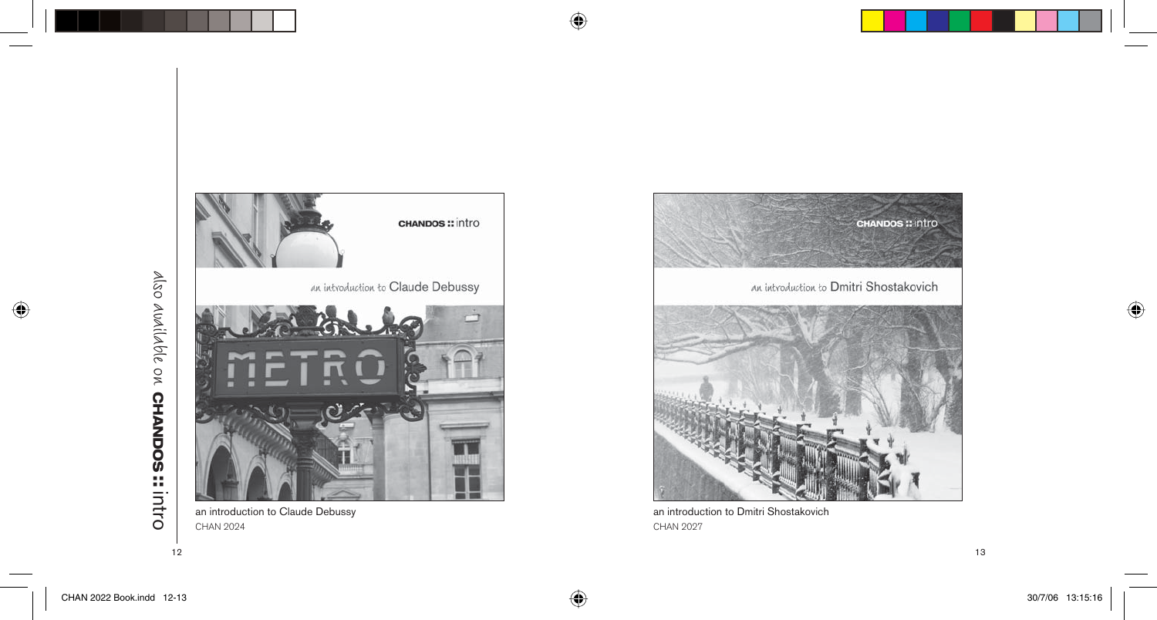

# also available on **CHANDOS** Also *Audilable* on **CHANDOS** :: intro

12  $\blacksquare$ 



CHAN 2024



an introduction to Dmitri Shostakovich CHAN 2027

 $\bigoplus$ 

 $\bigoplus$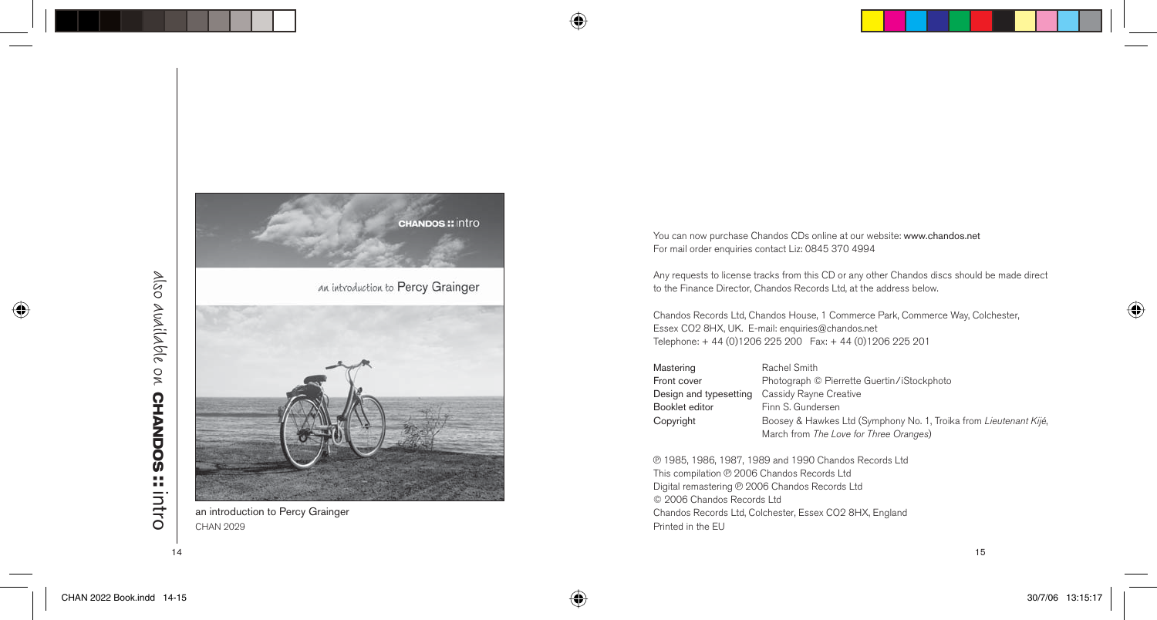

# also available on **CHANDOS** Also *Audilable on* CHANDOS :: intro



an introduction to Percy Grainger CHAN 2029

You can now purchase Chandos CDs online at our website: www.chandos.net For mail order enquiries contact Liz: 0845 370 4994

 $\bigoplus$ 

 $\bigoplus$ 

Any requests to license tracks from this CD or any other Chandos discs should be made direct to the Finance Director, Chandos Records Ltd, at the address below.

Chandos Records Ltd, Chandos House, 1 Commerce Park, Commerce Way, Colchester, Essex CO2 8HX, UK. E-mail: enquiries@chandos.net Telephone: + 44 (0)1206 225 200 Fax: + 44 (0)1206 225 201

| Mastering              | Rachel Smith                                                     |
|------------------------|------------------------------------------------------------------|
| Front cover            | Photograph © Pierrette Guertin/iStockphoto                       |
| Design and typesetting | Cassidy Rayne Creative                                           |
| Booklet editor         | Finn S. Gundersen                                                |
| Copyright              | Boosey & Hawkes Ltd (Symphony No. 1, Troika from Lieutenant Kijé |
|                        | March from The Love for Three Oranges)                           |

p 1985, 1986, 1987, 1989 and 1990 Chandos Records Ltd This compilation @ 2006 Chandos Records Ltd Digital remastering @ 2006 Chandos Records Ltd © 2006 Chandos Records Ltd Chandos Records Ltd, Colchester, Essex CO2 8HX, England Printed in the EU

,

 $\bigoplus$